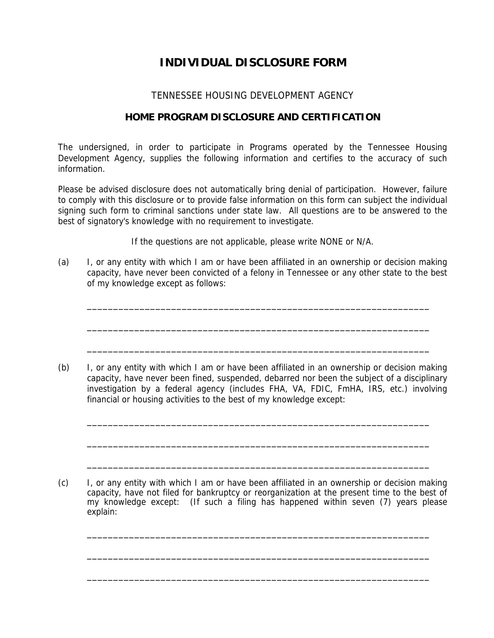## **INDIVIDUAL DISCLOSURE FORM**

## TENNESSEE HOUSING DEVELOPMENT AGENCY

## **HOME PROGRAM DISCLOSURE AND CERTIFICATION**

The undersigned, in order to participate in Programs operated by the Tennessee Housing Development Agency, supplies the following information and certifies to the accuracy of such information.

Please be advised disclosure does not automatically bring denial of participation. However, failure to comply with this disclosure or to provide false information on this form can subject the individual signing such form to criminal sanctions under state law. All questions are to be answered to the best of signatory's knowledge with no requirement to investigate.

If the questions are not applicable, please write NONE or N/A.

(a) I, or any entity with which I am or have been affiliated in an ownership or decision making capacity, have never been convicted of a felony in Tennessee or any other state to the best of my knowledge except as follows:

\_\_\_\_\_\_\_\_\_\_\_\_\_\_\_\_\_\_\_\_\_\_\_\_\_\_\_\_\_\_\_\_\_\_\_\_\_\_\_\_\_\_\_\_\_\_\_\_\_\_\_\_\_\_\_\_\_\_\_\_\_\_\_\_\_

\_\_\_\_\_\_\_\_\_\_\_\_\_\_\_\_\_\_\_\_\_\_\_\_\_\_\_\_\_\_\_\_\_\_\_\_\_\_\_\_\_\_\_\_\_\_\_\_\_\_\_\_\_\_\_\_\_\_\_\_\_\_\_\_\_

\_\_\_\_\_\_\_\_\_\_\_\_\_\_\_\_\_\_\_\_\_\_\_\_\_\_\_\_\_\_\_\_\_\_\_\_\_\_\_\_\_\_\_\_\_\_\_\_\_\_\_\_\_\_\_\_\_\_\_\_\_\_\_\_\_

(b) I, or any entity with which I am or have been affiliated in an ownership or decision making capacity, have never been fined, suspended, debarred nor been the subject of a disciplinary investigation by a federal agency (includes FHA, VA, FDIC, FmHA, IRS, etc.) involving financial or housing activities to the best of my knowledge except:

\_\_\_\_\_\_\_\_\_\_\_\_\_\_\_\_\_\_\_\_\_\_\_\_\_\_\_\_\_\_\_\_\_\_\_\_\_\_\_\_\_\_\_\_\_\_\_\_\_\_\_\_\_\_\_\_\_\_\_\_\_\_\_\_\_

\_\_\_\_\_\_\_\_\_\_\_\_\_\_\_\_\_\_\_\_\_\_\_\_\_\_\_\_\_\_\_\_\_\_\_\_\_\_\_\_\_\_\_\_\_\_\_\_\_\_\_\_\_\_\_\_\_\_\_\_\_\_\_\_\_

\_\_\_\_\_\_\_\_\_\_\_\_\_\_\_\_\_\_\_\_\_\_\_\_\_\_\_\_\_\_\_\_\_\_\_\_\_\_\_\_\_\_\_\_\_\_\_\_\_\_\_\_\_\_\_\_\_\_\_\_\_\_\_\_\_

(c) I, or any entity with which I am or have been affiliated in an ownership or decision making capacity, have not filed for bankruptcy or reorganization at the present time to the best of my knowledge except: (If such a filing has happened within seven (7) years please explain:

\_\_\_\_\_\_\_\_\_\_\_\_\_\_\_\_\_\_\_\_\_\_\_\_\_\_\_\_\_\_\_\_\_\_\_\_\_\_\_\_\_\_\_\_\_\_\_\_\_\_\_\_\_\_\_\_\_\_\_\_\_\_\_\_\_

\_\_\_\_\_\_\_\_\_\_\_\_\_\_\_\_\_\_\_\_\_\_\_\_\_\_\_\_\_\_\_\_\_\_\_\_\_\_\_\_\_\_\_\_\_\_\_\_\_\_\_\_\_\_\_\_\_\_\_\_\_\_\_\_\_

\_\_\_\_\_\_\_\_\_\_\_\_\_\_\_\_\_\_\_\_\_\_\_\_\_\_\_\_\_\_\_\_\_\_\_\_\_\_\_\_\_\_\_\_\_\_\_\_\_\_\_\_\_\_\_\_\_\_\_\_\_\_\_\_\_